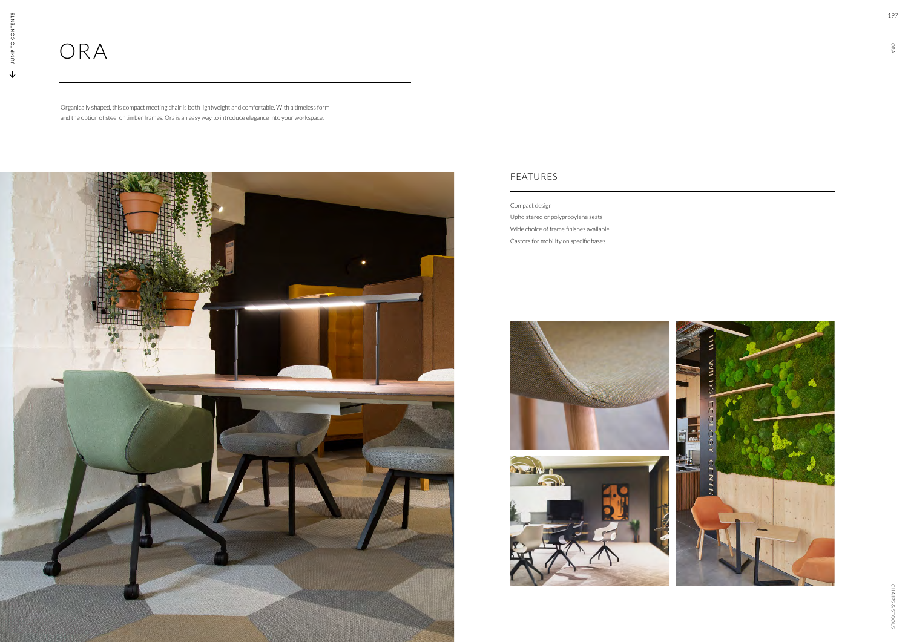## FEATURES

## ORA

Organically shaped, this compact meeting chair is both lightweight and comfortable. With a timeless form and the option of steel or timber frames. Ora is an easy way to introduce elegance into your workspace.



Compact design

Upholstered or polypropylene seats Wide choice of frame finishes available Castors for mobility on specific bases